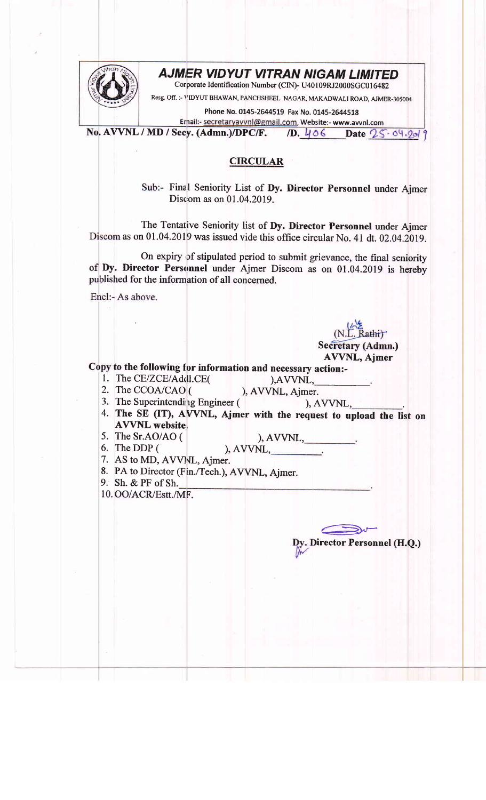## AJMER VIDYUT VITRAN NIGAM LIMITED



Corporate Identification Number (CIN)- U40109RJ2000SGC016482

Resg. Off. :- VIDYUT BHAWAN, PANCHSHEEL NAGAR, MAKADWALI ROAD, AJMER-305004

Phone No. 0145-2644519 Fax No. 0145-2644518

Ernail:- secretaryavvnl@gmail.com, Website:- www.avvnl.com No. AVVNL / MD / Secy. (Admn.)/DPC/F. /D.  $406$  Date  $25.04.201$ 

## **CIRCULAR**

Sub:- Final Seniority List of Dy. Director Personnel under Ajmer Discom as on 01.04.2019.

The Tentative Seniority list of Dy. Director Personnel under Ajmer Discom as on 01.04.2019 was issued vide this office circular No. 41 dt. 02.04.2019.

On expiry of stipulated period to submit grievance, the final seniority of Dy. Director Personnel under Ajmer Discom as on 01.04.2019 is hereby published for the information of all concerned.

Encl:- As above.

(N.L. Rathi)<br>Secretary (Admn.) AVVNL, Ajmer

Copy to the following for information and necessary action:-

- 1. The CE/ZCE/Addl.CE $($ ), AVVNL,
- 2. The CCOA/CAO  $($  ), AVVNL, Ajmer.

),  $AVVNL$ ,  $\_\_\_\_\_\_\_\_\$ 

€-

Dy. Director Personnel (H.Q.)

- 3. The Superintending Engineer  $($ ,  $)$ , AVVNL,
- 4. The SE (IT), AVVNL, Ajmer with the request to upload the list on **AVVNL** website.
- 5. The Sr.AO/AO (
- 6. The DDP ( ), AVVNL,\_\_\_\_\_\_\_\_\_\_\_.
- 7. AS to MD, AVVNL, Ajmer.
- 8. PA to Director (Fin./Tech.), AVVNL, Ajmer.
- 9. Sh. & PF of Sh.
- 10. OO/ACR/Estt./MF.